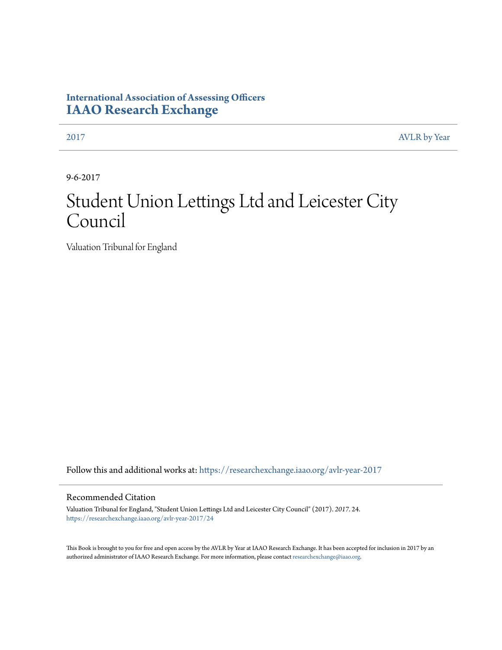## **International Association of Assessing Officers [IAAO Research Exchange](https://researchexchange.iaao.org?utm_source=researchexchange.iaao.org%2Favlr-year-2017%2F24&utm_medium=PDF&utm_campaign=PDFCoverPages)**

[2017](https://researchexchange.iaao.org/avlr-year-2017?utm_source=researchexchange.iaao.org%2Favlr-year-2017%2F24&utm_medium=PDF&utm_campaign=PDFCoverPages) [AVLR by Year](https://researchexchange.iaao.org/avlr-year?utm_source=researchexchange.iaao.org%2Favlr-year-2017%2F24&utm_medium=PDF&utm_campaign=PDFCoverPages)

9-6-2017

# Student Union Lettings Ltd and Leicester City Council

Valuation Tribunal for England

Follow this and additional works at: [https://researchexchange.iaao.org/avlr-year-2017](https://researchexchange.iaao.org/avlr-year-2017?utm_source=researchexchange.iaao.org%2Favlr-year-2017%2F24&utm_medium=PDF&utm_campaign=PDFCoverPages)

#### Recommended Citation

Valuation Tribunal for England, "Student Union Lettings Ltd and Leicester City Council" (2017). *2017*. 24. [https://researchexchange.iaao.org/avlr-year-2017/24](https://researchexchange.iaao.org/avlr-year-2017/24?utm_source=researchexchange.iaao.org%2Favlr-year-2017%2F24&utm_medium=PDF&utm_campaign=PDFCoverPages)

This Book is brought to you for free and open access by the AVLR by Year at IAAO Research Exchange. It has been accepted for inclusion in 2017 by an authorized administrator of IAAO Research Exchange. For more information, please contact [researchexchange@iaao.org](mailto:researchexchange@iaao.org).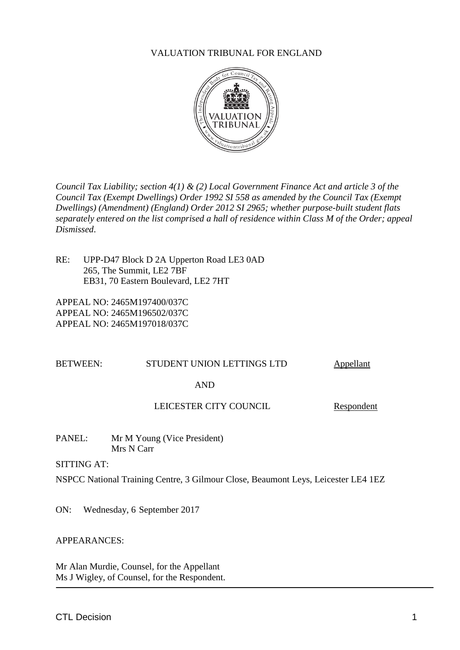#### VALUATION TRIBUNAL FOR ENGLAND



*Council Tax Liability; section 4(1) & (2) Local Government Finance Act and article 3 of the Council Tax (Exempt Dwellings) Order 1992 SI 558 as amended by the Council Tax (Exempt Dwellings) (Amendment) (England) Order 2012 SI 2965; whether purpose-built student flats separately entered on the list comprised a hall of residence within Class M of the Order; appeal Dismissed*.

RE: UPP-D47 Block D 2A Upperton Road LE3 0AD 265, The Summit, LE2 7BF EB31, 70 Eastern Boulevard, LE2 7HT

APPEAL NO: 2465M197400/037C APPEAL NO: 2465M196502/037C APPEAL NO: 2465M197018/037C

#### BETWEEN: STUDENT UNION LETTINGS LTD Appellant

#### AND

#### LEICESTER CITY COUNCIL Respondent

PANEL: Mr M Young (Vice President) Mrs N Carr

SITTING AT:

NSPCC National Training Centre, 3 Gilmour Close, Beaumont Leys, Leicester LE4 1EZ

ON: Wednesday, 6 September 2017

#### APPEARANCES:

Mr Alan Murdie, Counsel, for the Appellant Ms J Wigley, of Counsel, for the Respondent.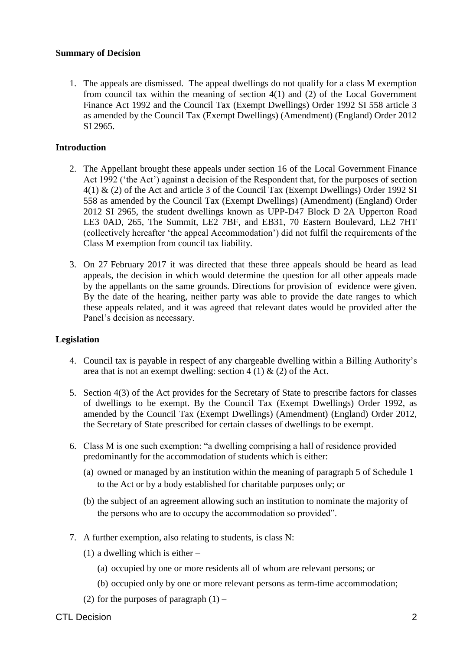#### **Summary of Decision**

1. The appeals are dismissed. The appeal dwellings do not qualify for a class M exemption from council tax within the meaning of section 4(1) and (2) of the Local Government Finance Act 1992 and the Council Tax (Exempt Dwellings) Order 1992 SI 558 article 3 as amended by the Council Tax (Exempt Dwellings) (Amendment) (England) Order 2012 SI 2965.

### **Introduction**

- 2. The Appellant brought these appeals under section 16 of the Local Government Finance Act 1992 ('the Act') against a decision of the Respondent that, for the purposes of section 4(1) & (2) of the Act and article 3 of the Council Tax (Exempt Dwellings) Order 1992 SI 558 as amended by the Council Tax (Exempt Dwellings) (Amendment) (England) Order 2012 SI 2965, the student dwellings known as UPP-D47 Block D 2A Upperton Road LE3 0AD, 265, The Summit, LE2 7BF, and EB31, 70 Eastern Boulevard, LE2 7HT (collectively hereafter 'the appeal Accommodation') did not fulfil the requirements of the Class M exemption from council tax liability.
- 3. On 27 February 2017 it was directed that these three appeals should be heard as lead appeals, the decision in which would determine the question for all other appeals made by the appellants on the same grounds. Directions for provision of evidence were given. By the date of the hearing, neither party was able to provide the date ranges to which these appeals related, and it was agreed that relevant dates would be provided after the Panel's decision as necessary.

#### **Legislation**

- 4. Council tax is payable in respect of any chargeable dwelling within a Billing Authority's area that is not an exempt dwelling: section  $4(1) \& (2)$  of the Act.
- 5. Section 4(3) of the Act provides for the Secretary of State to prescribe factors for classes of dwellings to be exempt. By the Council Tax (Exempt Dwellings) Order 1992, as amended by the Council Tax (Exempt Dwellings) (Amendment) (England) Order 2012, the Secretary of State prescribed for certain classes of dwellings to be exempt.
- 6. Class M is one such exemption: "a dwelling comprising a hall of residence provided predominantly for the accommodation of students which is either:
	- (a) owned or managed by an institution within the meaning of paragraph 5 of Schedule 1 to the Act or by a body established for charitable purposes only; or
	- (b) the subject of an agreement allowing such an institution to nominate the majority of the persons who are to occupy the accommodation so provided".
- 7. A further exemption, also relating to students, is class N:
	- (1) a dwelling which is either  $-$ 
		- (a) occupied by one or more residents all of whom are relevant persons; or
		- (b) occupied only by one or more relevant persons as term-time accommodation;
	- (2) for the purposes of paragraph  $(1)$  –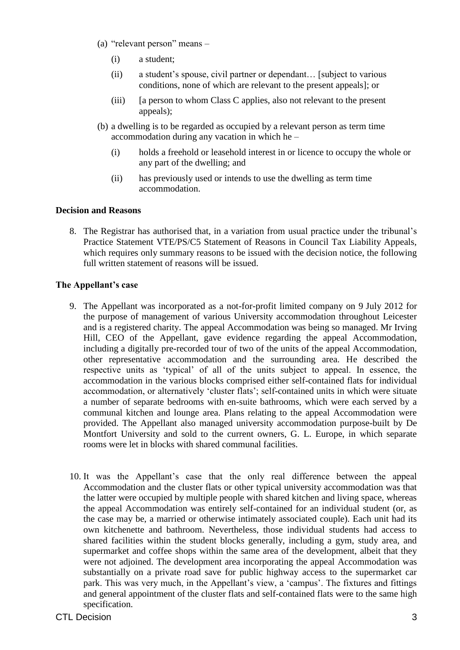- (a) "relevant person" means
	- (i) a student;
	- (ii) a student's spouse, civil partner or dependant… [subject to various conditions, none of which are relevant to the present appeals]; or
	- (iii) [a person to whom Class C applies, also not relevant to the present appeals);
- (b) a dwelling is to be regarded as occupied by a relevant person as term time accommodation during any vacation in which he –
	- (i) holds a freehold or leasehold interest in or licence to occupy the whole or any part of the dwelling; and
	- (ii) has previously used or intends to use the dwelling as term time accommodation.

#### **Decision and Reasons**

8. The Registrar has authorised that, in a variation from usual practice under the tribunal's Practice Statement VTE/PS/C5 Statement of Reasons in Council Tax Liability Appeals, which requires only summary reasons to be issued with the decision notice, the following full written statement of reasons will be issued.

#### **The Appellant's case**

- 9. The Appellant was incorporated as a not-for-profit limited company on 9 July 2012 for the purpose of management of various University accommodation throughout Leicester and is a registered charity. The appeal Accommodation was being so managed. Mr Irving Hill, CEO of the Appellant, gave evidence regarding the appeal Accommodation, including a digitally pre-recorded tour of two of the units of the appeal Accommodation, other representative accommodation and the surrounding area. He described the respective units as 'typical' of all of the units subject to appeal. In essence, the accommodation in the various blocks comprised either self-contained flats for individual accommodation, or alternatively 'cluster flats'; self-contained units in which were situate a number of separate bedrooms with en-suite bathrooms, which were each served by a communal kitchen and lounge area. Plans relating to the appeal Accommodation were provided. The Appellant also managed university accommodation purpose-built by De Montfort University and sold to the current owners, G. L. Europe, in which separate rooms were let in blocks with shared communal facilities.
- 10. It was the Appellant's case that the only real difference between the appeal Accommodation and the cluster flats or other typical university accommodation was that the latter were occupied by multiple people with shared kitchen and living space, whereas the appeal Accommodation was entirely self-contained for an individual student (or, as the case may be, a married or otherwise intimately associated couple). Each unit had its own kitchenette and bathroom. Nevertheless, those individual students had access to shared facilities within the student blocks generally, including a gym, study area, and supermarket and coffee shops within the same area of the development, albeit that they were not adjoined. The development area incorporating the appeal Accommodation was substantially on a private road save for public highway access to the supermarket car park. This was very much, in the Appellant's view, a 'campus'. The fixtures and fittings and general appointment of the cluster flats and self-contained flats were to the same high specification.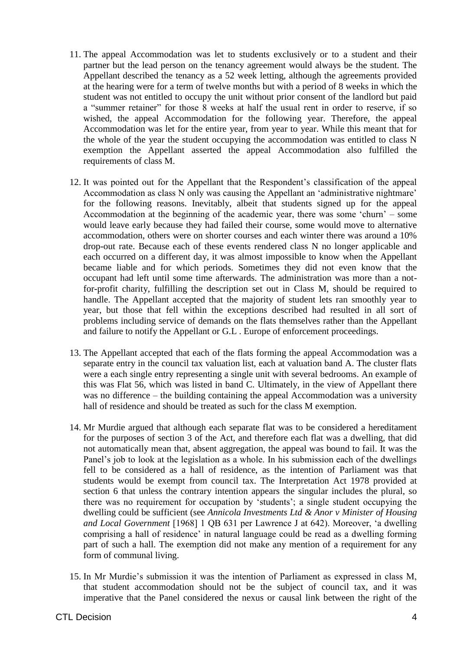- 11. The appeal Accommodation was let to students exclusively or to a student and their partner but the lead person on the tenancy agreement would always be the student. The Appellant described the tenancy as a 52 week letting, although the agreements provided at the hearing were for a term of twelve months but with a period of 8 weeks in which the student was not entitled to occupy the unit without prior consent of the landlord but paid a "summer retainer" for those 8 weeks at half the usual rent in order to reserve, if so wished, the appeal Accommodation for the following year. Therefore, the appeal Accommodation was let for the entire year, from year to year. While this meant that for the whole of the year the student occupying the accommodation was entitled to class N exemption the Appellant asserted the appeal Accommodation also fulfilled the requirements of class M.
- 12. It was pointed out for the Appellant that the Respondent's classification of the appeal Accommodation as class N only was causing the Appellant an 'administrative nightmare' for the following reasons. Inevitably, albeit that students signed up for the appeal Accommodation at the beginning of the academic year, there was some 'churn' – some would leave early because they had failed their course, some would move to alternative accommodation, others were on shorter courses and each winter there was around a 10% drop-out rate. Because each of these events rendered class N no longer applicable and each occurred on a different day, it was almost impossible to know when the Appellant became liable and for which periods. Sometimes they did not even know that the occupant had left until some time afterwards. The administration was more than a notfor-profit charity, fulfilling the description set out in Class M, should be required to handle. The Appellant accepted that the majority of student lets ran smoothly year to year, but those that fell within the exceptions described had resulted in all sort of problems including service of demands on the flats themselves rather than the Appellant and failure to notify the Appellant or G.L . Europe of enforcement proceedings.
- 13. The Appellant accepted that each of the flats forming the appeal Accommodation was a separate entry in the council tax valuation list, each at valuation band A. The cluster flats were a each single entry representing a single unit with several bedrooms. An example of this was Flat 56, which was listed in band C. Ultimately, in the view of Appellant there was no difference – the building containing the appeal Accommodation was a university hall of residence and should be treated as such for the class M exemption.
- 14. Mr Murdie argued that although each separate flat was to be considered a hereditament for the purposes of section 3 of the Act, and therefore each flat was a dwelling, that did not automatically mean that, absent aggregation, the appeal was bound to fail. It was the Panel's job to look at the legislation as a whole. In his submission each of the dwellings fell to be considered as a hall of residence, as the intention of Parliament was that students would be exempt from council tax. The Interpretation Act 1978 provided at section 6 that unless the contrary intention appears the singular includes the plural, so there was no requirement for occupation by 'students'; a single student occupying the dwelling could be sufficient (see *Annicola Investments Ltd & Anor v Minister of Housing and Local Government* [1968] 1 QB 631 per Lawrence J at 642). Moreover, 'a dwelling comprising a hall of residence' in natural language could be read as a dwelling forming part of such a hall. The exemption did not make any mention of a requirement for any form of communal living.
- 15. In Mr Murdie's submission it was the intention of Parliament as expressed in class M, that student accommodation should not be the subject of council tax, and it was imperative that the Panel considered the nexus or causal link between the right of the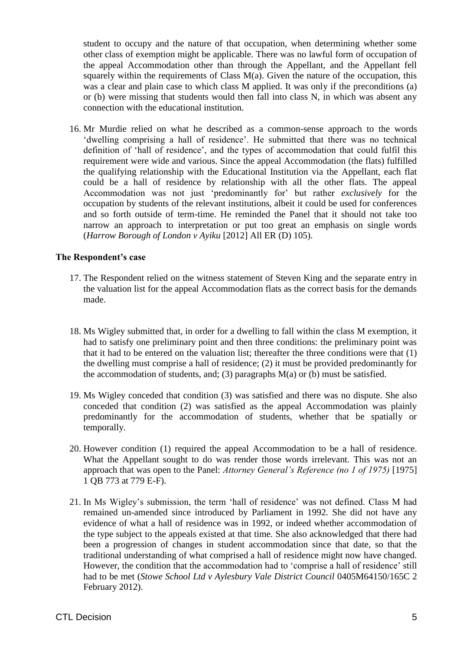student to occupy and the nature of that occupation, when determining whether some other class of exemption might be applicable. There was no lawful form of occupation of the appeal Accommodation other than through the Appellant, and the Appellant fell squarely within the requirements of Class  $M(a)$ . Given the nature of the occupation, this was a clear and plain case to which class M applied. It was only if the preconditions (a) or (b) were missing that students would then fall into class N, in which was absent any connection with the educational institution.

16. Mr Murdie relied on what he described as a common-sense approach to the words 'dwelling comprising a hall of residence'. He submitted that there was no technical definition of 'hall of residence', and the types of accommodation that could fulfil this requirement were wide and various. Since the appeal Accommodation (the flats) fulfilled the qualifying relationship with the Educational Institution via the Appellant, each flat could be a hall of residence by relationship with all the other flats. The appeal Accommodation was not just 'predominantly for' but rather *exclusively* for the occupation by students of the relevant institutions, albeit it could be used for conferences and so forth outside of term-time. He reminded the Panel that it should not take too narrow an approach to interpretation or put too great an emphasis on single words (*Harrow Borough of London v Ayiku* [2012] All ER (D) 105).

#### **The Respondent's case**

- 17. The Respondent relied on the witness statement of Steven King and the separate entry in the valuation list for the appeal Accommodation flats as the correct basis for the demands made.
- 18. Ms Wigley submitted that, in order for a dwelling to fall within the class M exemption, it had to satisfy one preliminary point and then three conditions: the preliminary point was that it had to be entered on the valuation list; thereafter the three conditions were that (1) the dwelling must comprise a hall of residence; (2) it must be provided predominantly for the accommodation of students, and; (3) paragraphs  $M(a)$  or (b) must be satisfied.
- 19. Ms Wigley conceded that condition (3) was satisfied and there was no dispute. She also conceded that condition (2) was satisfied as the appeal Accommodation was plainly predominantly for the accommodation of students, whether that be spatially or temporally.
- 20. However condition (1) required the appeal Accommodation to be a hall of residence. What the Appellant sought to do was render those words irrelevant. This was not an approach that was open to the Panel: *Attorney General's Reference (no 1 of 1975)* [1975] 1 QB 773 at 779 E-F).
- 21. In Ms Wigley's submission, the term 'hall of residence' was not defined. Class M had remained un-amended since introduced by Parliament in 1992. She did not have any evidence of what a hall of residence was in 1992, or indeed whether accommodation of the type subject to the appeals existed at that time. She also acknowledged that there had been a progression of changes in student accommodation since that date, so that the traditional understanding of what comprised a hall of residence might now have changed. However, the condition that the accommodation had to 'comprise a hall of residence' still had to be met (*Stowe School Ltd v Aylesbury Vale District Council* 0405M64150/165C 2 February 2012).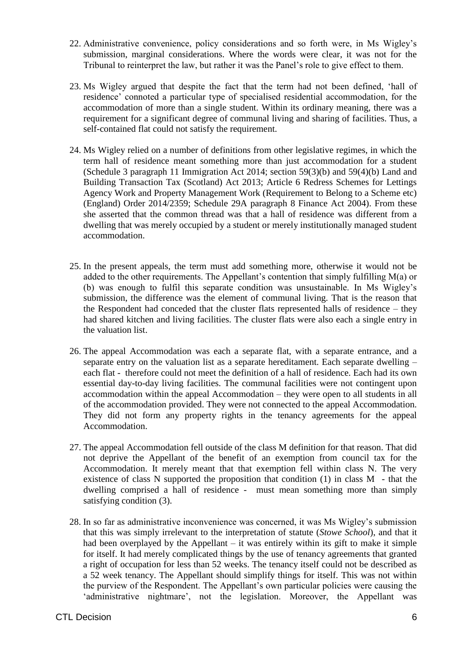- 22. Administrative convenience, policy considerations and so forth were, in Ms Wigley's submission, marginal considerations. Where the words were clear, it was not for the Tribunal to reinterpret the law, but rather it was the Panel's role to give effect to them.
- 23. Ms Wigley argued that despite the fact that the term had not been defined, 'hall of residence' connoted a particular type of specialised residential accommodation, for the accommodation of more than a single student. Within its ordinary meaning, there was a requirement for a significant degree of communal living and sharing of facilities. Thus, a self-contained flat could not satisfy the requirement.
- 24. Ms Wigley relied on a number of definitions from other legislative regimes, in which the term hall of residence meant something more than just accommodation for a student (Schedule 3 paragraph 11 Immigration Act 2014; section 59(3)(b) and 59(4)(b) Land and Building Transaction Tax (Scotland) Act 2013; Article 6 Redress Schemes for Lettings Agency Work and Property Management Work (Requirement to Belong to a Scheme etc) (England) Order 2014/2359; Schedule 29A paragraph 8 Finance Act 2004). From these she asserted that the common thread was that a hall of residence was different from a dwelling that was merely occupied by a student or merely institutionally managed student accommodation.
- 25. In the present appeals, the term must add something more, otherwise it would not be added to the other requirements. The Appellant's contention that simply fulfilling M(a) or (b) was enough to fulfil this separate condition was unsustainable. In Ms Wigley's submission, the difference was the element of communal living. That is the reason that the Respondent had conceded that the cluster flats represented halls of residence – they had shared kitchen and living facilities. The cluster flats were also each a single entry in the valuation list.
- 26. The appeal Accommodation was each a separate flat, with a separate entrance, and a separate entry on the valuation list as a separate hereditament. Each separate dwelling – each flat - therefore could not meet the definition of a hall of residence. Each had its own essential day-to-day living facilities. The communal facilities were not contingent upon accommodation within the appeal Accommodation – they were open to all students in all of the accommodation provided. They were not connected to the appeal Accommodation. They did not form any property rights in the tenancy agreements for the appeal Accommodation.
- 27. The appeal Accommodation fell outside of the class M definition for that reason. That did not deprive the Appellant of the benefit of an exemption from council tax for the Accommodation. It merely meant that that exemption fell within class N. The very existence of class N supported the proposition that condition  $(1)$  in class M - that the dwelling comprised a hall of residence - must mean something more than simply satisfying condition (3).
- 28. In so far as administrative inconvenience was concerned, it was Ms Wigley's submission that this was simply irrelevant to the interpretation of statute (*Stowe School*), and that it had been overplayed by the Appellant – it was entirely within its gift to make it simple for itself. It had merely complicated things by the use of tenancy agreements that granted a right of occupation for less than 52 weeks. The tenancy itself could not be described as a 52 week tenancy. The Appellant should simplify things for itself. This was not within the purview of the Respondent. The Appellant's own particular policies were causing the 'administrative nightmare', not the legislation. Moreover, the Appellant was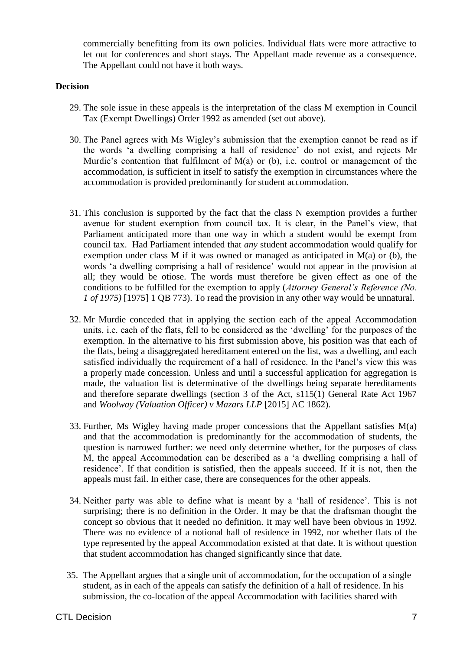commercially benefitting from its own policies. Individual flats were more attractive to let out for conferences and short stays. The Appellant made revenue as a consequence. The Appellant could not have it both ways.

#### **Decision**

- 29. The sole issue in these appeals is the interpretation of the class M exemption in Council Tax (Exempt Dwellings) Order 1992 as amended (set out above).
- 30. The Panel agrees with Ms Wigley's submission that the exemption cannot be read as if the words 'a dwelling comprising a hall of residence' do not exist, and rejects Mr Murdie's contention that fulfilment of M(a) or (b), i.e. control or management of the accommodation, is sufficient in itself to satisfy the exemption in circumstances where the accommodation is provided predominantly for student accommodation.
- 31. This conclusion is supported by the fact that the class N exemption provides a further avenue for student exemption from council tax. It is clear, in the Panel's view, that Parliament anticipated more than one way in which a student would be exempt from council tax. Had Parliament intended that *any* student accommodation would qualify for exemption under class M if it was owned or managed as anticipated in M(a) or (b), the words 'a dwelling comprising a hall of residence' would not appear in the provision at all; they would be otiose. The words must therefore be given effect as one of the conditions to be fulfilled for the exemption to apply (*Attorney General's Reference (No. 1 of 1975)* [1975] 1 QB 773). To read the provision in any other way would be unnatural.
- 32. Mr Murdie conceded that in applying the section each of the appeal Accommodation units, i.e. each of the flats, fell to be considered as the 'dwelling' for the purposes of the exemption. In the alternative to his first submission above, his position was that each of the flats, being a disaggregated hereditament entered on the list, was a dwelling, and each satisfied individually the requirement of a hall of residence. In the Panel's view this was a properly made concession. Unless and until a successful application for aggregation is made, the valuation list is determinative of the dwellings being separate hereditaments and therefore separate dwellings (section 3 of the Act, s115(1) General Rate Act 1967 and *Woolway (Valuation Officer) v Mazars LLP* [2015] AC 1862).
- 33. Further, Ms Wigley having made proper concessions that the Appellant satisfies M(a) and that the accommodation is predominantly for the accommodation of students, the question is narrowed further: we need only determine whether, for the purposes of class M, the appeal Accommodation can be described as a 'a dwelling comprising a hall of residence'. If that condition is satisfied, then the appeals succeed. If it is not, then the appeals must fail. In either case, there are consequences for the other appeals.
- 34. Neither party was able to define what is meant by a 'hall of residence'. This is not surprising; there is no definition in the Order. It may be that the draftsman thought the concept so obvious that it needed no definition. It may well have been obvious in 1992. There was no evidence of a notional hall of residence in 1992, nor whether flats of the type represented by the appeal Accommodation existed at that date. It is without question that student accommodation has changed significantly since that date.
- 35. The Appellant argues that a single unit of accommodation, for the occupation of a single student, as in each of the appeals can satisfy the definition of a hall of residence. In his submission, the co-location of the appeal Accommodation with facilities shared with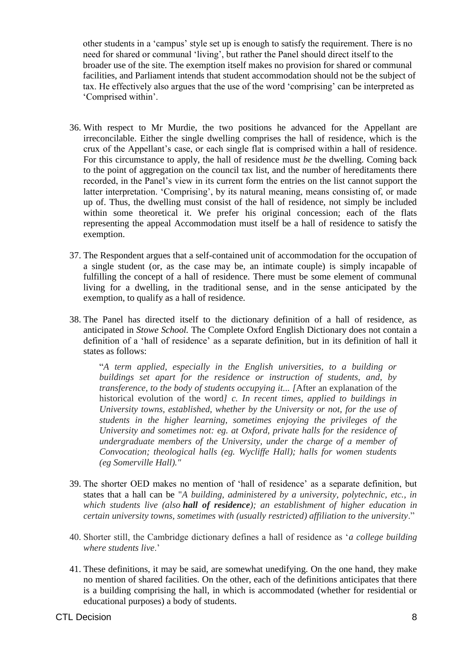other students in a 'campus' style set up is enough to satisfy the requirement. There is no need for shared or communal 'living', but rather the Panel should direct itself to the broader use of the site. The exemption itself makes no provision for shared or communal facilities, and Parliament intends that student accommodation should not be the subject of tax. He effectively also argues that the use of the word 'comprising' can be interpreted as 'Comprised within'.

- 36. With respect to Mr Murdie, the two positions he advanced for the Appellant are irreconcilable. Either the single dwelling comprises the hall of residence, which is the crux of the Appellant's case, or each single flat is comprised within a hall of residence. For this circumstance to apply, the hall of residence must *be* the dwelling. Coming back to the point of aggregation on the council tax list, and the number of hereditaments there recorded, in the Panel's view in its current form the entries on the list cannot support the latter interpretation. 'Comprising', by its natural meaning, means consisting of, or made up of. Thus, the dwelling must consist of the hall of residence, not simply be included within some theoretical it. We prefer his original concession; each of the flats representing the appeal Accommodation must itself be a hall of residence to satisfy the exemption.
- 37. The Respondent argues that a self-contained unit of accommodation for the occupation of a single student (or, as the case may be, an intimate couple) is simply incapable of fulfilling the concept of a hall of residence. There must be some element of communal living for a dwelling, in the traditional sense, and in the sense anticipated by the exemption, to qualify as a hall of residence.
- 38. The Panel has directed itself to the dictionary definition of a hall of residence, as anticipated in *Stowe School.* The Complete Oxford English Dictionary does not contain a definition of a 'hall of residence' as a separate definition, but in its definition of hall it states as follows:

"*A term applied, especially in the English universities, to a building or buildings set apart for the residence or instruction of students, and, by transference, to the body of students occupying it... [*After an explanation of the historical evolution of the word*] c. In recent times, applied to buildings in University towns, established, whether by the University or not, for the use of students in the higher learning, sometimes enjoying the privileges of the University and sometimes not: eg. at Oxford, private halls for the residence of undergraduate members of the University, under the charge of a member of Convocation; theological halls (eg. Wycliffe Hall); halls for women students (eg Somerville Hall)."*

- 39. The shorter OED makes no mention of 'hall of residence' as a separate definition, but states that a hall can be "*A building, administered by a university, polytechnic, etc., in which students live (also hall of residence); an establishment of higher education in certain university towns, sometimes with (usually restricted) affiliation to the university*."
- 40. Shorter still, the Cambridge dictionary defines a hall of residence as '*a college building where students live*.'
- 41. These definitions, it may be said, are somewhat unedifying. On the one hand, they make no mention of shared facilities. On the other, each of the definitions anticipates that there is a building comprising the hall, in which is accommodated (whether for residential or educational purposes) a body of students.